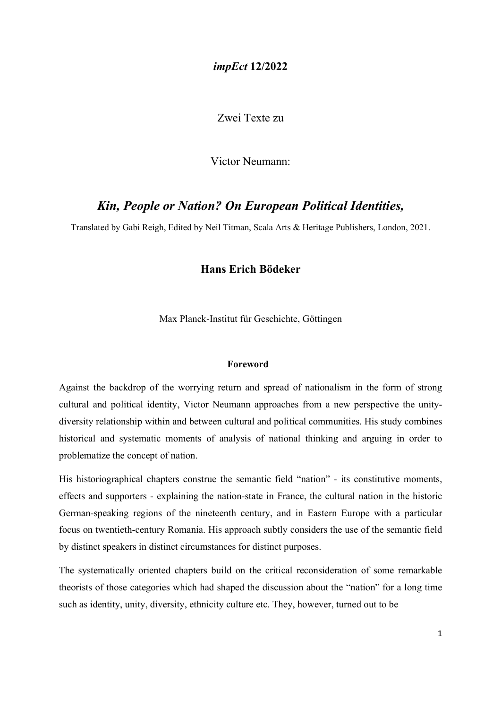### impEct 12/2022

Zwei Texte zu

Victor Neumann:

# Kin, People or Nation? On European Political Identities,

Translated by Gabi Reigh, Edited by Neil Titman, Scala Arts & Heritage Publishers, London, 2021.

# Hans Erich Bödeker

Max Planck-Institut für Geschichte, Göttingen

#### Foreword

Against the backdrop of the worrying return and spread of nationalism in the form of strong cultural and political identity, Victor Neumann approaches from a new perspective the unitydiversity relationship within and between cultural and political communities. His study combines historical and systematic moments of analysis of national thinking and arguing in order to problematize the concept of nation.

His historiographical chapters construe the semantic field "nation" - its constitutive moments, effects and supporters - explaining the nation-state in France, the cultural nation in the historic German-speaking regions of the nineteenth century, and in Eastern Europe with a particular focus on twentieth-century Romania. His approach subtly considers the use of the semantic field by distinct speakers in distinct circumstances for distinct purposes.

The systematically oriented chapters build on the critical reconsideration of some remarkable theorists of those categories which had shaped the discussion about the "nation" for a long time such as identity, unity, diversity, ethnicity culture etc. They, however, turned out to be